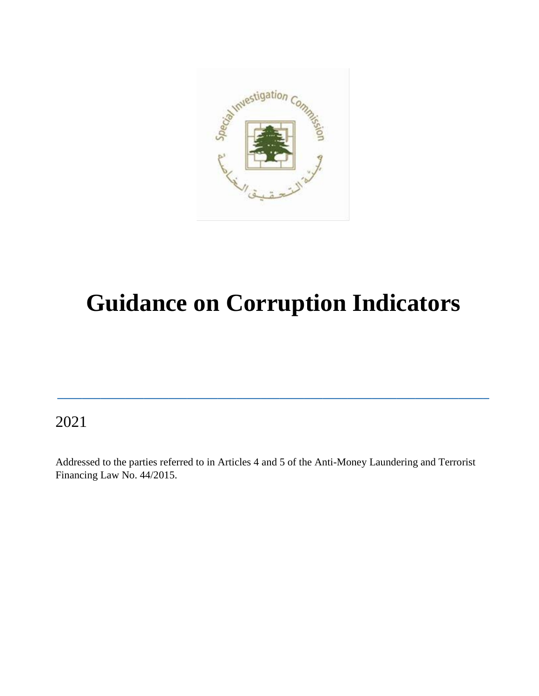

# **Guidance on Corruption Indicators**

**\_\_\_\_\_\_\_\_\_\_\_\_\_\_\_\_\_\_\_\_\_\_\_\_\_\_\_\_\_\_\_\_\_\_\_\_\_\_\_\_\_\_\_\_\_\_\_\_\_\_\_\_\_\_\_\_\_\_\_\_\_\_\_\_\_\_\_\_\_\_**

2021

Addressed to the parties referred to in Articles 4 and 5 of the Anti-Money Laundering and Terrorist Financing Law No. 44/2015.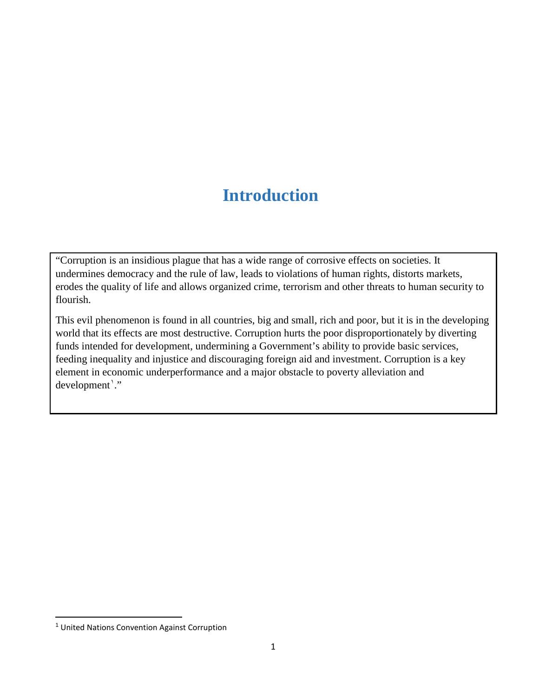### **Introduction**

"Corruption is an insidious plague that has a wide range of corrosive effects on societies. It undermines democracy and the rule of law, leads to violations of human rights, distorts markets, erodes the quality of life and allows organized crime, terrorism and other threats to human security to flourish.

This evil phenomenon is found in all countries, big and small, rich and poor, but it is in the developing world that its effects are most destructive. Corruption hurts the poor disproportionately by diverting funds intended for development, undermining a Government's ability to provide basic services, feeding inequality and injustice and discouraging foreign aid and investment. Corruption is a key element in economic underperformance and a major obstacle to poverty alleviation and development'."

 $\overline{a}$ 

<sup>1</sup> United Nations Convention Against Corruption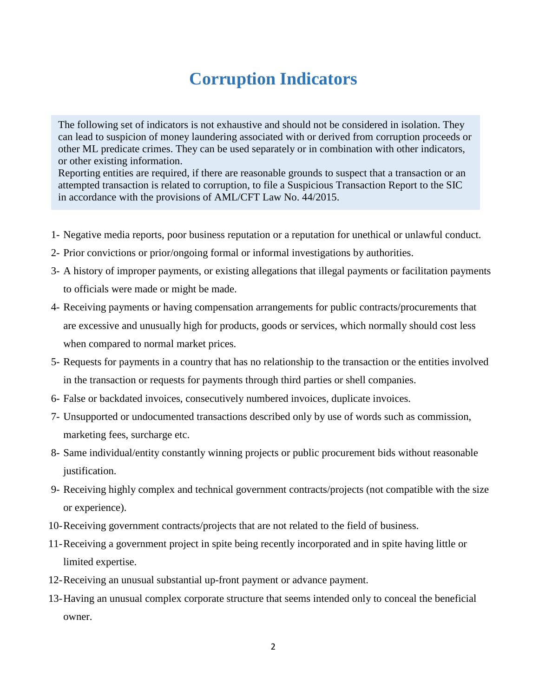### **Corruption Indicators**

The following set of indicators is not exhaustive and should not be considered in isolation. They can lead to suspicion of money laundering associated with or derived from corruption proceeds or other ML predicate crimes. They can be used separately or in combination with other indicators, or other existing information.

Reporting entities are required, if there are reasonable grounds to suspect that a transaction or an attempted transaction is related to corruption, to file a Suspicious Transaction Report to the SIC in accordance with the provisions of AML/CFT Law No. 44/2015.

- 1- Negative media reports, poor business reputation or a reputation for unethical or unlawful conduct.
- 2- Prior convictions or prior/ongoing formal or informal investigations by authorities.
- 3- A history of improper payments, or existing allegations that illegal payments or facilitation payments to officials were made or might be made.
- 4- Receiving payments or having compensation arrangements for public contracts/procurements that are excessive and unusually high for products, goods or services, which normally should cost less when compared to normal market prices.
- 5- Requests for payments in a country that has no relationship to the transaction or the entities involved in the transaction or requests for payments through third parties or shell companies.
- 6- False or backdated invoices, consecutively numbered invoices, duplicate invoices.
- 7- Unsupported or undocumented transactions described only by use of words such as commission, marketing fees, surcharge etc.
- 8- Same individual/entity constantly winning projects or public procurement bids without reasonable justification.
- 9- Receiving highly complex and technical government contracts/projects (not compatible with the size or experience).
- 10-Receiving government contracts/projects that are not related to the field of business.
- 11-Receiving a government project in spite being recently incorporated and in spite having little or limited expertise.
- 12-Receiving an unusual substantial up-front payment or advance payment.
- 13-Having an unusual complex corporate structure that seems intended only to conceal the beneficial owner.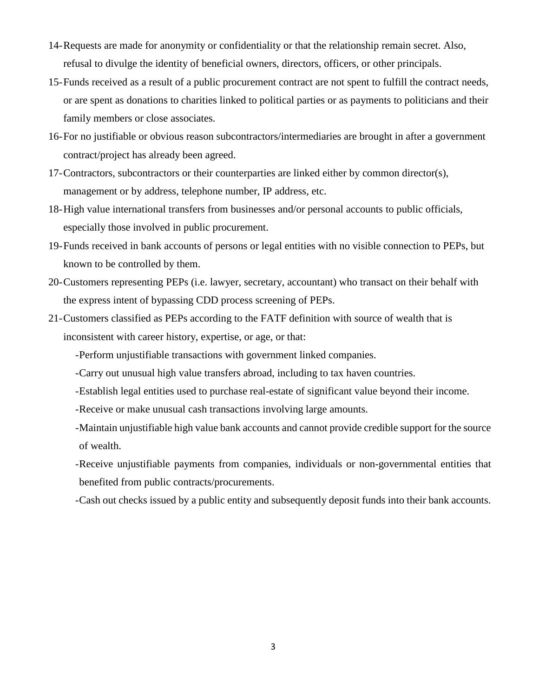- 14-Requests are made for anonymity or confidentiality or that the relationship remain secret. Also, refusal to divulge the identity of beneficial owners, directors, officers, or other principals.
- 15-Funds received as a result of a public procurement contract are not spent to fulfill the contract needs, or are spent as donations to charities linked to political parties or as payments to politicians and their family members or close associates.
- 16-For no justifiable or obvious reason subcontractors/intermediaries are brought in after a government contract/project has already been agreed.
- 17-Contractors, subcontractors or their counterparties are linked either by common director(s), management or by address, telephone number, IP address, etc.
- 18-High value international transfers from businesses and/or personal accounts to public officials, especially those involved in public procurement.
- 19-Funds received in bank accounts of persons or legal entities with no visible connection to PEPs, but known to be controlled by them.
- 20-Customers representing PEPs (i.e. lawyer, secretary, accountant) who transact on their behalf with the express intent of bypassing CDD process screening of PEPs.
- 21-Customers classified as PEPs according to the FATF definition with source of wealth that is inconsistent with career history, expertise, or age, or that:
	- -Perform unjustifiable transactions with government linked companies.
	- -Carry out unusual high value transfers abroad, including to tax haven countries.
	- -Establish legal entities used to purchase real-estate of significant value beyond their income.
	- -Receive or make unusual cash transactions involving large amounts.
	- -Maintain unjustifiable high value bank accounts and cannot provide credible support for the source of wealth.
	- -Receive unjustifiable payments from companies, individuals or non-governmental entities that benefited from public contracts/procurements.
	- -Cash out checks issued by a public entity and subsequently deposit funds into their bank accounts.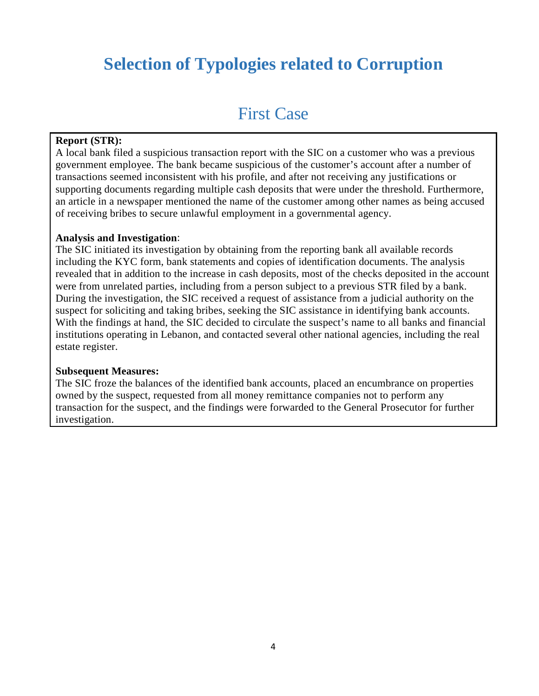## **Selection of Typologies related to Corruption**

### First Case

#### **Report (STR):**

A local bank filed a suspicious transaction report with the SIC on a customer who was a previous government employee. The bank became suspicious of the customer's account after a number of transactions seemed inconsistent with his profile, and after not receiving any justifications or supporting documents regarding multiple cash deposits that were under the threshold. Furthermore, an article in a newspaper mentioned the name of the customer among other names as being accused of receiving bribes to secure unlawful employment in a governmental agency.

#### **Analysis and Investigation**:

The SIC initiated its investigation by obtaining from the reporting bank all available records including the KYC form, bank statements and copies of identification documents. The analysis revealed that in addition to the increase in cash deposits, most of the checks deposited in the account were from unrelated parties, including from a person subject to a previous STR filed by a bank. During the investigation, the SIC received a request of assistance from a judicial authority on the suspect for soliciting and taking bribes, seeking the SIC assistance in identifying bank accounts. With the findings at hand, the SIC decided to circulate the suspect's name to all banks and financial institutions operating in Lebanon, and contacted several other national agencies, including the real estate register.

#### **Subsequent Measures:**

The SIC froze the balances of the identified bank accounts, placed an encumbrance on properties owned by the suspect, requested from all money remittance companies not to perform any transaction for the suspect, and the findings were forwarded to the General Prosecutor for further investigation.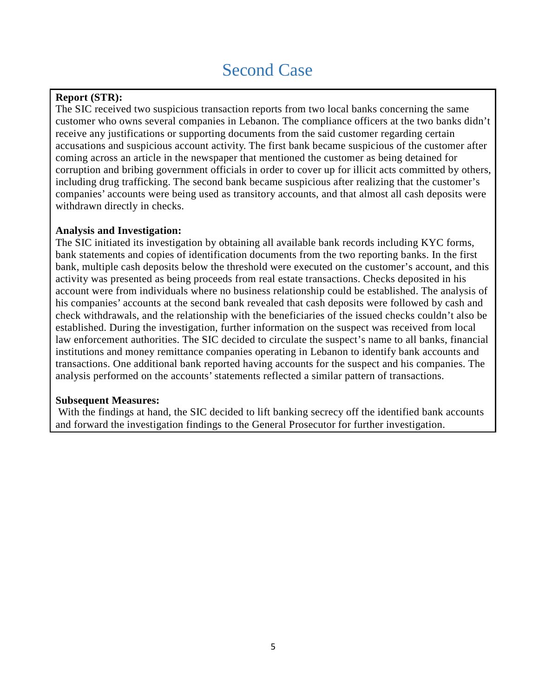### Second Case

### **Report (STR):**

The SIC received two suspicious transaction reports from two local banks concerning the same customer who owns several companies in Lebanon. The compliance officers at the two banks didn't receive any justifications or supporting documents from the said customer regarding certain accusations and suspicious account activity. The first bank became suspicious of the customer after coming across an article in the newspaper that mentioned the customer as being detained for corruption and bribing government officials in order to cover up for illicit acts committed by others, including drug trafficking. The second bank became suspicious after realizing that the customer's companies' accounts were being used as transitory accounts, and that almost all cash deposits were withdrawn directly in checks.

#### **Analysis and Investigation:**

The SIC initiated its investigation by obtaining all available bank records including KYC forms, bank statements and copies of identification documents from the two reporting banks. In the first bank, multiple cash deposits below the threshold were executed on the customer's account, and this activity was presented as being proceeds from real estate transactions. Checks deposited in his account were from individuals where no business relationship could be established. The analysis of his companies' accounts at the second bank revealed that cash deposits were followed by cash and check withdrawals, and the relationship with the beneficiaries of the issued checks couldn't also be established. During the investigation, further information on the suspect was received from local law enforcement authorities. The SIC decided to circulate the suspect's name to all banks, financial institutions and money remittance companies operating in Lebanon to identify bank accounts and transactions. One additional bank reported having accounts for the suspect and his companies. The analysis performed on the accounts' statements reflected a similar pattern of transactions.

#### **Subsequent Measures:**

With the findings at hand, the SIC decided to lift banking secrecy off the identified bank accounts and forward the investigation findings to the General Prosecutor for further investigation.